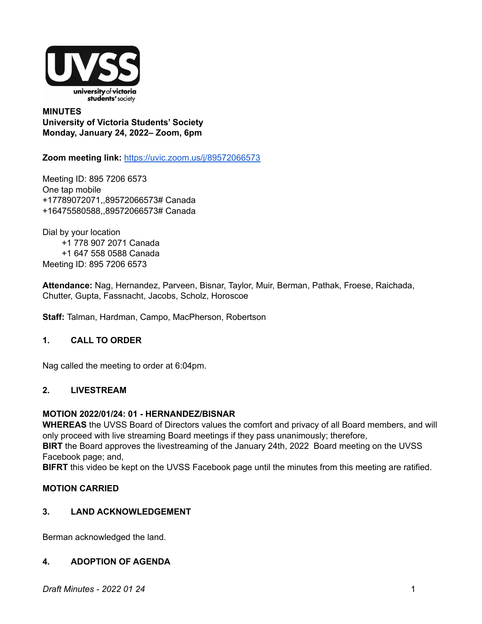

# **MINUTES University of Victoria Students' Society Monday, January 24, 2022– Zoom, 6pm**

**Zoom meeting link:** <https://uvic.zoom.us/j/89572066573>

Meeting ID: 895 7206 6573 One tap mobile +17789072071,,89572066573# Canada +16475580588,,89572066573# Canada

Dial by your location +1 778 907 2071 Canada +1 647 558 0588 Canada Meeting ID: 895 7206 6573

**Attendance:** Nag, Hernandez, Parveen, Bisnar, Taylor, Muir, Berman, Pathak, Froese, Raichada, Chutter, Gupta, Fassnacht, Jacobs, Scholz, Horoscoe

**Staff:** Talman, Hardman, Campo, MacPherson, Robertson

# **1. CALL TO ORDER**

Nag called the meeting to order at 6:04pm.

# **2. LIVESTREAM**

#### **MOTION 2022/01/24: 01 - HERNANDEZ/BISNAR**

**WHEREAS** the UVSS Board of Directors values the comfort and privacy of all Board members, and will only proceed with live streaming Board meetings if they pass unanimously; therefore,

**BIRT** the Board approves the livestreaming of the January 24th, 2022 Board meeting on the UVSS Facebook page; and,

**BIFRT** this video be kept on the UVSS Facebook page until the minutes from this meeting are ratified.

# **MOTION CARRIED**

# **3. LAND ACKNOWLEDGEMENT**

Berman acknowledged the land.

# **4. ADOPTION OF AGENDA**

*Draft Minutes - 2022 01 24* 1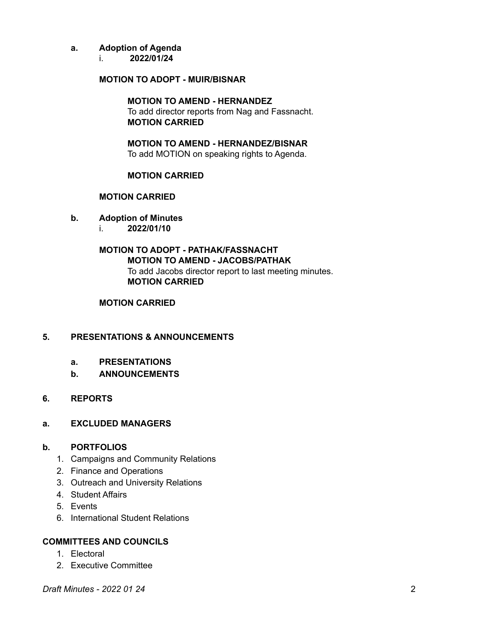# **a. Adoption of Agenda**

i. **2022/01/24**

# **MOTION TO ADOPT - MUIR/BISNAR**

# **MOTION TO AMEND - HERNANDEZ**

To add director reports from Nag and Fassnacht. **MOTION CARRIED**

**MOTION TO AMEND - HERNANDEZ/BISNAR** To add MOTION on speaking rights to Agenda.

# **MOTION CARRIED**

#### **MOTION CARRIED**

- **b. Adoption of Minutes**
	- i. **2022/01/10**

# **MOTION TO ADOPT - PATHAK/FASSNACHT MOTION TO AMEND - JACOBS/PATHAK** To add Jacobs director report to last meeting minutes. **MOTION CARRIED**

# **MOTION CARRIED**

# **5. PRESENTATIONS & ANNOUNCEMENTS**

# **a. PRESENTATIONS**

**b. ANNOUNCEMENTS**

# **6. REPORTS**

#### **a. EXCLUDED MANAGERS**

# **b. PORTFOLIOS**

- 1. Campaigns and Community Relations
- 2. Finance and Operations
- 3. Outreach and University Relations
- 4. Student Affairs
- 5. Events
- 6. International Student Relations

# **COMMITTEES AND COUNCILS**

- 1. Electoral
- 2. Executive Committee

*Draft Minutes - 2022 01 24* 2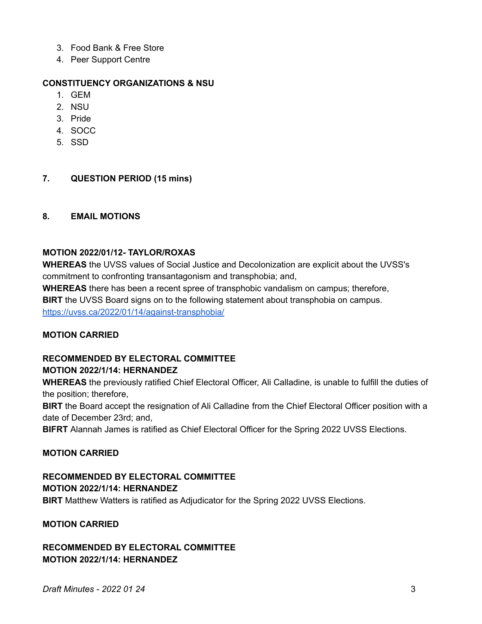- 3. Food Bank & Free Store
- 4. Peer Support Centre

# **CONSTITUENCY ORGANIZATIONS & NSU**

- 1. GEM
- 2. NSU
- 3. Pride
- 4. SOCC
- 5. SSD

# **7. QUESTION PERIOD (15 mins)**

#### **8. EMAIL MOTIONS**

# **MOTION 2022/01/12- TAYLOR/ROXAS**

**WHEREAS** the UVSS values of Social Justice and Decolonization are explicit about the UVSS's commitment to confronting transantagonism and transphobia; and,

**WHEREAS** there has been a recent spree of transphobic vandalism on campus; therefore, **BIRT** the UVSS Board signs on to the following statement about transphobia on campus. <https://uvss.ca/2022/01/14/against-transphobia/>

# **MOTION CARRIED**

# **RECOMMENDED BY ELECTORAL COMMITTEE**

# **MOTION 2022/1/14: HERNANDEZ**

**WHEREAS** the previously ratified Chief Electoral Officer, Ali Calladine, is unable to fulfill the duties of the position; therefore,

**BIRT** the Board accept the resignation of Ali Calladine from the Chief Electoral Officer position with a date of December 23rd; and,

**BIFRT** Alannah James is ratified as Chief Electoral Officer for the Spring 2022 UVSS Elections.

# **MOTION CARRIED**

# **RECOMMENDED BY ELECTORAL COMMITTEE MOTION 2022/1/14: HERNANDEZ**

**BIRT** Matthew Watters is ratified as Adjudicator for the Spring 2022 UVSS Elections.

# **MOTION CARRIED**

# **RECOMMENDED BY ELECTORAL COMMITTEE MOTION 2022/1/14: HERNANDEZ**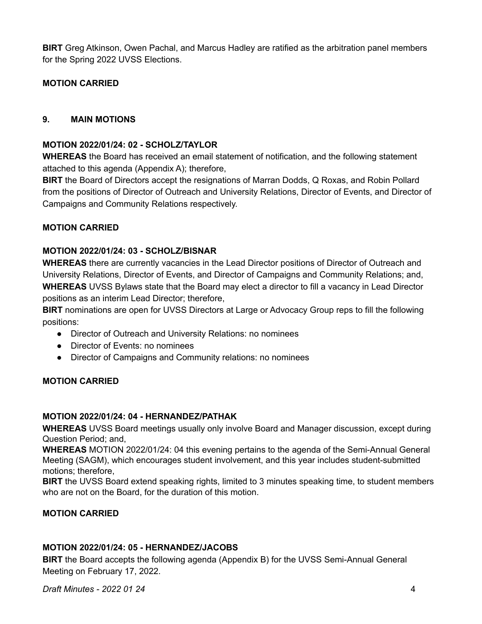**BIRT** Greg Atkinson, Owen Pachal, and Marcus Hadley are ratified as the arbitration panel members for the Spring 2022 UVSS Elections.

# **MOTION CARRIED**

# **9. MAIN MOTIONS**

# **MOTION 2022/01/24: 02 - SCHOLZ/TAYLOR**

**WHEREAS** the Board has received an email statement of notification, and the following statement attached to this agenda (Appendix A); therefore,

**BIRT** the Board of Directors accept the resignations of Marran Dodds, Q Roxas, and Robin Pollard from the positions of Director of Outreach and University Relations, Director of Events, and Director of Campaigns and Community Relations respectively.

# **MOTION CARRIED**

# **MOTION 2022/01/24: 03 - SCHOLZ/BISNAR**

**WHEREAS** there are currently vacancies in the Lead Director positions of Director of Outreach and University Relations, Director of Events, and Director of Campaigns and Community Relations; and, **WHEREAS** UVSS Bylaws state that the Board may elect a director to fill a vacancy in Lead Director positions as an interim Lead Director; therefore,

**BIRT** nominations are open for UVSS Directors at Large or Advocacy Group reps to fill the following positions:

- Director of Outreach and University Relations: no nominees
- Director of Events: no nominees
- Director of Campaigns and Community relations: no nominees

# **MOTION CARRIED**

# **MOTION 2022/01/24: 04 - HERNANDEZ/PATHAK**

**WHEREAS** UVSS Board meetings usually only involve Board and Manager discussion, except during Question Period; and,

**WHEREAS** MOTION 2022/01/24: 04 this evening pertains to the agenda of the Semi-Annual General Meeting (SAGM), which encourages student involvement, and this year includes student-submitted motions; therefore,

**BIRT** the UVSS Board extend speaking rights, limited to 3 minutes speaking time, to student members who are not on the Board, for the duration of this motion.

# **MOTION CARRIED**

# **MOTION 2022/01/24: 05 - HERNANDEZ/JACOBS**

**BIRT** the Board accepts the following agenda (Appendix B) for the UVSS Semi-Annual General Meeting on February 17, 2022.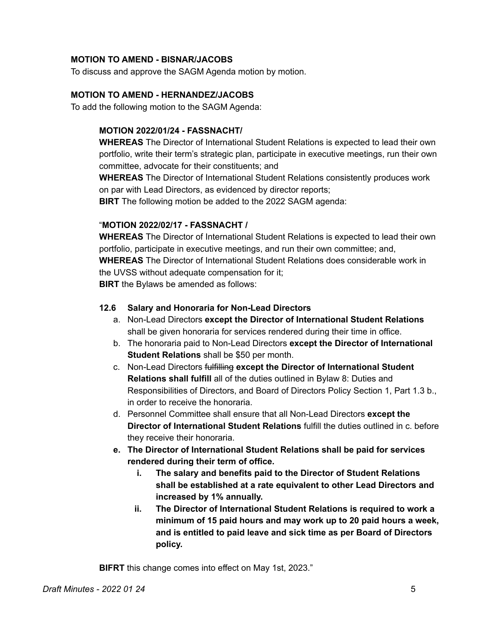# **MOTION TO AMEND - BISNAR/JACOBS**

To discuss and approve the SAGM Agenda motion by motion.

# **MOTION TO AMEND - HERNANDEZ/JACOBS**

To add the following motion to the SAGM Agenda:

# **MOTION 2022/01/24 - FASSNACHT/**

**WHEREAS** The Director of International Student Relations is expected to lead their own portfolio, write their term's strategic plan, participate in executive meetings, run their own committee, advocate for their constituents; and

**WHEREAS** The Director of International Student Relations consistently produces work on par with Lead Directors, as evidenced by director reports;

**BIRT** The following motion be added to the 2022 SAGM agenda:

#### "**MOTION 2022/02/17 - FASSNACHT /**

**WHEREAS** The Director of International Student Relations is expected to lead their own portfolio, participate in executive meetings, and run their own committee; and, **WHEREAS** The Director of International Student Relations does considerable work in the UVSS without adequate compensation for it; **BIRT** the Bylaws be amended as follows:

# **12.6 Salary and Honoraria for Non-Lead Directors**

- a. Non-Lead Directors **except the Director of International Student Relations** shall be given honoraria for services rendered during their time in office.
- b. The honoraria paid to Non-Lead Directors **except the Director of International Student Relations** shall be \$50 per month.
- c. Non-Lead Directors fulfilling **except the Director of International Student Relations shall fulfill** all of the duties outlined in Bylaw 8: Duties and Responsibilities of Directors, and Board of Directors Policy Section 1, Part 1.3 b., in order to receive the honoraria.
- d. Personnel Committee shall ensure that all Non-Lead Directors **except the Director of International Student Relations** fulfill the duties outlined in c. before they receive their honoraria.
- **e. The Director of International Student Relations shall be paid for services rendered during their term of office.**
	- **i. The salary and benefits paid to the Director of Student Relations shall be established at a rate equivalent to other Lead Directors and increased by 1% annually.**
	- **ii. The Director of International Student Relations is required to work a minimum of 15 paid hours and may work up to 20 paid hours a week, and is entitled to paid leave and sick time as per Board of Directors policy.**

**BIFRT** this change comes into effect on May 1st, 2023."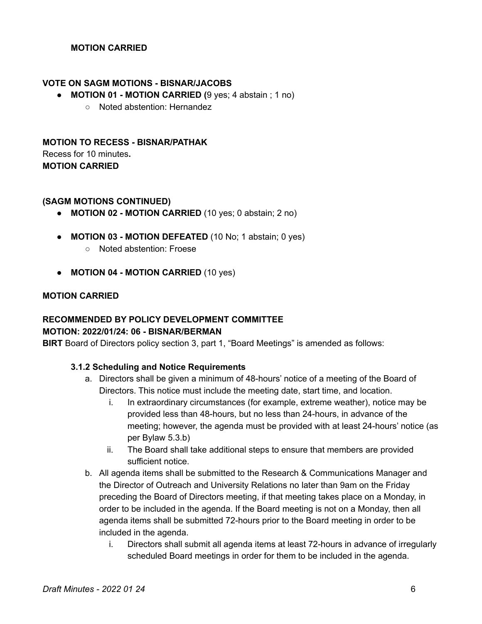# **MOTION CARRIED**

#### **VOTE ON SAGM MOTIONS - BISNAR/JACOBS**

- **● MOTION 01 - MOTION CARRIED (**9 yes; 4 abstain ; 1 no)
	- Noted abstention: Hernandez

# **MOTION TO RECESS - BISNAR/PATHAK** Recess for 10 minutes**. MOTION CARRIED**

#### **(SAGM MOTIONS CONTINUED)**

- **● MOTION 02 - MOTION CARRIED** (10 yes; 0 abstain; 2 no)
- **● MOTION 03 - MOTION DEFEATED** (10 No; 1 abstain; 0 yes)
	- Noted abstention: Froese
- **● MOTION 04 - MOTION CARRIED** (10 yes)

### **MOTION CARRIED**

# **RECOMMENDED BY POLICY DEVELOPMENT COMMITTEE**

### **MOTION: 2022/01/24: 06 - BISNAR/BERMAN**

**BIRT** Board of Directors policy section 3, part 1, "Board Meetings" is amended as follows:

#### **3.1.2 Scheduling and Notice Requirements**

- a. Directors shall be given a minimum of 48-hours' notice of a meeting of the Board of Directors. This notice must include the meeting date, start time, and location.
	- i. In extraordinary circumstances (for example, extreme weather), notice may be provided less than 48-hours, but no less than 24-hours, in advance of the meeting; however, the agenda must be provided with at least 24-hours' notice (as per Bylaw 5.3.b)
	- ii. The Board shall take additional steps to ensure that members are provided sufficient notice.
- b. All agenda items shall be submitted to the Research & Communications Manager and the Director of Outreach and University Relations no later than 9am on the Friday preceding the Board of Directors meeting, if that meeting takes place on a Monday, in order to be included in the agenda. If the Board meeting is not on a Monday, then all agenda items shall be submitted 72-hours prior to the Board meeting in order to be included in the agenda.
	- i. Directors shall submit all agenda items at least 72-hours in advance of irregularly scheduled Board meetings in order for them to be included in the agenda.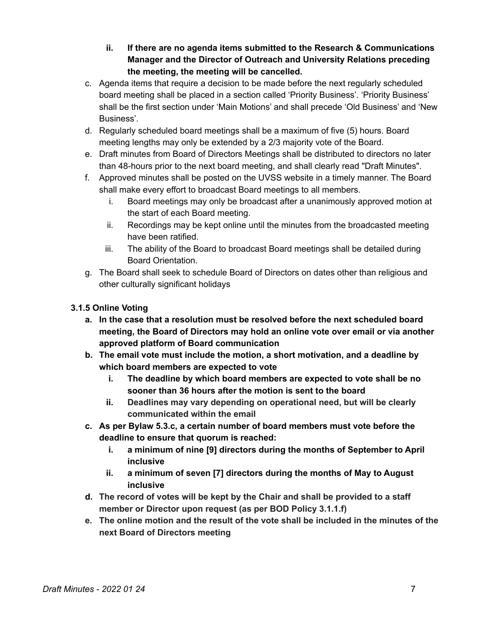- **ii. If there are no agenda items submitted to the Research & Communications Manager and the Director of Outreach and University Relations preceding the meeting, the meeting will be cancelled.**
- c. Agenda items that require a decision to be made before the next regularly scheduled board meeting shall be placed in a section called 'Priority Business'. 'Priority Business' shall be the first section under 'Main Motions' and shall precede 'Old Business' and 'New Business'.
- d. Regularly scheduled board meetings shall be a maximum of five (5) hours. Board meeting lengths may only be extended by a 2/3 majority vote of the Board.
- e. Draft minutes from Board of Directors Meetings shall be distributed to directors no later than 48-hours prior to the next board meeting, and shall clearly read "Draft Minutes".
- f. Approved minutes shall be posted on the UVSS website in a timely manner. The Board shall make every effort to broadcast Board meetings to all members.
	- i. Board meetings may only be broadcast after a unanimously approved motion at the start of each Board meeting.
	- ii. Recordings may be kept online until the minutes from the broadcasted meeting have been ratified.
	- iii. The ability of the Board to broadcast Board meetings shall be detailed during Board Orientation.
- g. The Board shall seek to schedule Board of Directors on dates other than religious and other culturally significant holidays

# **3.1.5 Online Voting**

- **a. In the case that a resolution must be resolved before the next scheduled board meeting, the Board of Directors may hold an online vote over email or via another approved platform of Board communication**
- **b. The email vote must include the motion, a short motivation, and a deadline by which board members are expected to vote**
	- **i. The deadline by which board members are expected to vote shall be no sooner than 36 hours after the motion is sent to the board**
	- **ii. Deadlines may vary depending on operational need, but will be clearly communicated within the email**
- **c. As per Bylaw 5.3.c, a certain number of board members must vote before the deadline to ensure that quorum is reached:**
	- **i. a minimum of nine [9] directors during the months of September to April inclusive**
	- **ii. a minimum of seven [7] directors during the months of May to August inclusive**
- **d. The record of votes will be kept by the Chair and shall be provided to a staff member or Director upon request (as per BOD Policy 3.1.1.f)**
- **e. The online motion and the result of the vote shall be included in the minutes of the next Board of Directors meeting**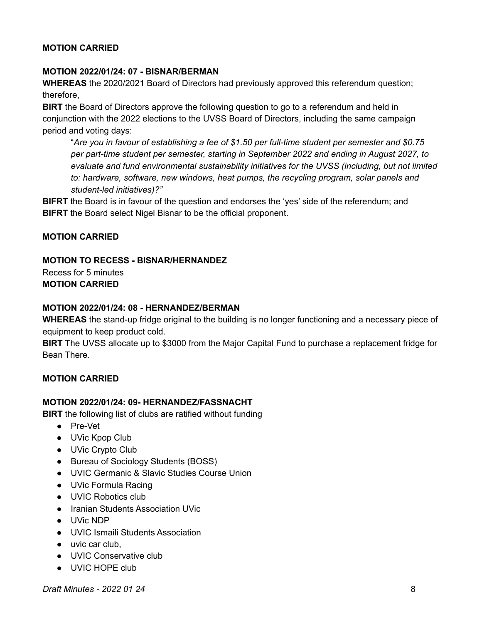# **MOTION CARRIED**

### **MOTION 2022/01/24: 07 - BISNAR/BERMAN**

**WHEREAS** the 2020/2021 Board of Directors had previously approved this referendum question; therefore,

**BIRT** the Board of Directors approve the following question to go to a referendum and held in conjunction with the 2022 elections to the UVSS Board of Directors, including the same campaign period and voting days:

"*Are you in favour of establishing a fee of \$1.50 per full-time student per semester and \$0.75 per part-time student per semester, starting in September 2022 and ending in August 2027, to evaluate and fund environmental sustainability initiatives for the UVSS (including, but not limited to: hardware, software, new windows, heat pumps, the recycling program, solar panels and student-led initiatives)?"*

**BIFRT** the Board is in favour of the question and endorses the 'yes' side of the referendum; and **BIFRT** the Board select Nigel Bisnar to be the official proponent.

#### **MOTION CARRIED**

# **MOTION TO RECESS - BISNAR/HERNANDEZ**

Recess for 5 minutes **MOTION CARRIED**

#### **MOTION 2022/01/24: 08 - HERNANDEZ/BERMAN**

**WHEREAS** the stand-up fridge original to the building is no longer functioning and a necessary piece of equipment to keep product cold.

**BIRT** The UVSS allocate up to \$3000 from the Major Capital Fund to purchase a replacement fridge for Bean There.

# **MOTION CARRIED**

#### **MOTION 2022/01/24: 09- HERNANDEZ/FASSNACHT**

**BIRT** the following list of clubs are ratified without funding

- Pre-Vet
- UVic Kpop Club
- UVic Crypto Club
- Bureau of Sociology Students (BOSS)
- UVIC Germanic & Slavic Studies Course Union
- UVic Formula Racing
- UVIC Robotics club
- Iranian Students Association UVic
- UVic NDP
- UVIC Ismaili Students Association
- uvic car club.
- UVIC Conservative club
- UVIC HOPE club

*Draft Minutes - 2022 01 24* 8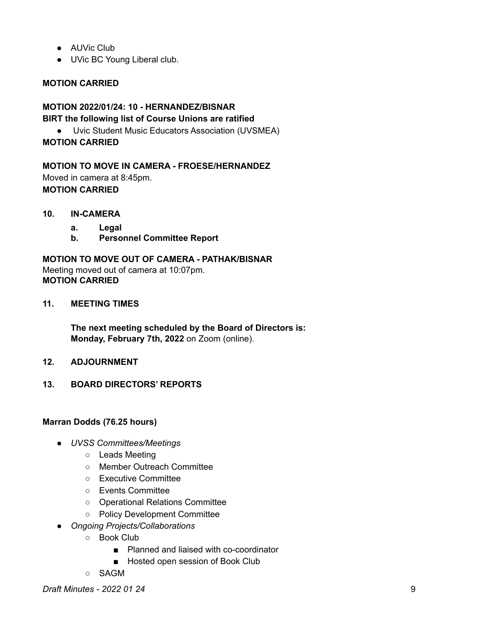- AUVic Club
- UVic BC Young Liberal club.

# **MOTION CARRIED**

# **MOTION 2022/01/24: 10 - HERNANDEZ/BISNAR BIRT the following list of Course Unions are ratified**

● Uvic Student Music Educators Association (UVSMEA)

# **MOTION CARRIED**

**MOTION TO MOVE IN CAMERA - FROESE/HERNANDEZ** Moved in camera at 8:45pm. **MOTION CARRIED**

- **10. IN-CAMERA**
	- **a. Legal**
	- **b. Personnel Committee Report**

**MOTION TO MOVE OUT OF CAMERA - PATHAK/BISNAR** Meeting moved out of camera at 10:07pm. **MOTION CARRIED**

**11. MEETING TIMES**

**The next meeting scheduled by the Board of Directors is: Monday, February 7th, 2022** on Zoom (online).

- **12. ADJOURNMENT**
- **13. BOARD DIRECTORS' REPORTS**

# **Marran Dodds (76.25 hours)**

- *UVSS Committees/Meetings*
	- Leads Meeting
	- Member Outreach Committee
	- Executive Committee
	- Events Committee
	- Operational Relations Committee
	- Policy Development Committee
- *Ongoing Projects/Collaborations*
	- Book Club
		- Planned and liaised with co-coordinator
		- Hosted open session of Book Club
	- SAGM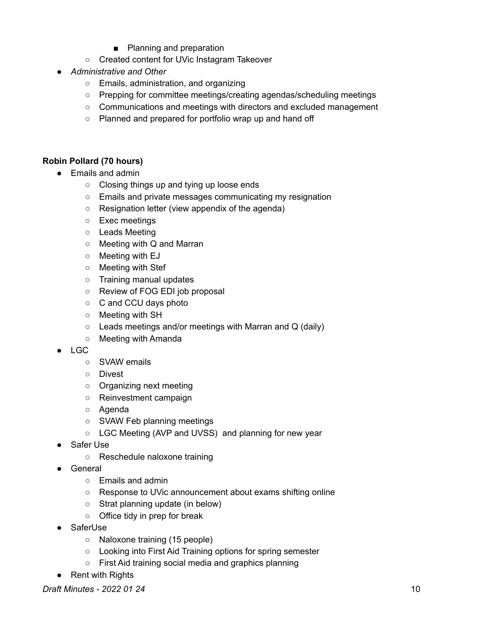- Planning and preparation
- Created content for UVic Instagram Takeover
- *Administrative and Other*
	- Emails, administration, and organizing
	- Prepping for committee meetings/creating agendas/scheduling meetings
	- Communications and meetings with directors and excluded management
	- Planned and prepared for portfolio wrap up and hand off

# **Robin Pollard (70 hours)**

- Emails and admin
	- Closing things up and tying up loose ends
	- Emails and private messages communicating my resignation
	- Resignation letter (view appendix of the agenda)
	- Exec meetings
	- Leads Meeting
	- Meeting with Q and Marran
	- Meeting with EJ
	- Meeting with Stef
	- Training manual updates
	- Review of FOG EDI job proposal
	- C and CCU days photo
	- Meeting with SH
	- $\circ$  Leads meetings and/or meetings with Marran and Q (daily)
	- Meeting with Amanda
- LGC
	- o SVAW emails
	- Divest
	- Organizing next meeting
	- Reinvestment campaign
	- Agenda
	- SVAW Feb planning meetings
	- LGC Meeting (AVP and UVSS) and planning for new year
- Safer Use
	- Reschedule naloxone training
- General
	- Emails and admin
	- Response to UVic announcement about exams shifting online
	- Strat planning update (in below)
	- Office tidy in prep for break
- SaferUse
	- Naloxone training (15 people)
	- Looking into First Aid Training options for spring semester
	- First Aid training social media and graphics planning
- Rent with Rights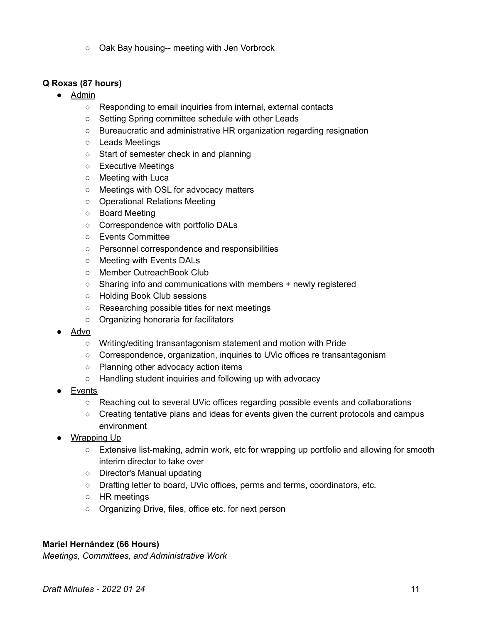○ Oak Bay housing-- meeting with Jen Vorbrock

# **Q Roxas (87 hours)**

- Admin
	- Responding to email inquiries from internal, external contacts
	- Setting Spring committee schedule with other Leads
	- Bureaucratic and administrative HR organization regarding resignation
	- Leads Meetings
	- Start of semester check in and planning
	- Executive Meetings
	- Meeting with Luca
	- Meetings with OSL for advocacy matters
	- Operational Relations Meeting
	- Board Meeting
	- Correspondence with portfolio DALs
	- Events Committee
	- Personnel correspondence and responsibilities
	- Meeting with Events DALs
	- Member OutreachBook Club
	- Sharing info and communications with members + newly registered
	- Holding Book Club sessions
	- Researching possible titles for next meetings
	- Organizing honoraria for facilitators
- Advo
	- Writing/editing transantagonism statement and motion with Pride
	- Correspondence, organization, inquiries to UVic offices re transantagonism
	- Planning other advocacy action items
	- Handling student inquiries and following up with advocacy
- **Events** 
	- Reaching out to several UVic offices regarding possible events and collaborations
	- Creating tentative plans and ideas for events given the current protocols and campus environment
- Wrapping Up
	- Extensive list-making, admin work, etc for wrapping up portfolio and allowing for smooth interim director to take over
	- Director's Manual updating
	- Drafting letter to board, UVic offices, perms and terms, coordinators, etc.
	- HR meetings
	- Organizing Drive, files, office etc. for next person

# **Mariel Hernández (66 Hours)**

*Meetings, Committees, and Administrative Work*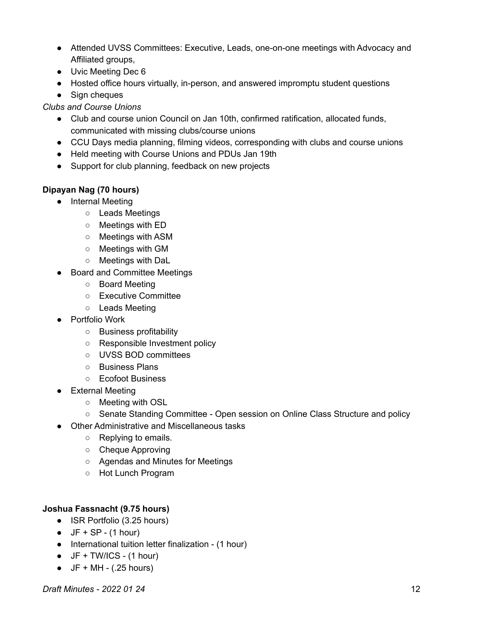- Attended UVSS Committees: Executive, Leads, one-on-one meetings with Advocacy and Affiliated groups,
- Uvic Meeting Dec 6
- Hosted office hours virtually, in-person, and answered impromptu student questions
- Sign cheques

*Clubs and Course Unions*

- Club and course union Council on Jan 10th, confirmed ratification, allocated funds, communicated with missing clubs/course unions
- CCU Days media planning, filming videos, corresponding with clubs and course unions
- Held meeting with Course Unions and PDUs Jan 19th
- Support for club planning, feedback on new projects

# **Dipayan Nag (70 hours)**

- Internal Meeting
	- Leads Meetings
	- Meetings with ED
	- Meetings with ASM
	- Meetings with GM
	- Meetings with DaL
- Board and Committee Meetings
	- Board Meeting
	- Executive Committee
	- Leads Meeting
- Portfolio Work
	- Business profitability
	- Responsible Investment policy
	- UVSS BOD committees
	- Business Plans
	- Ecofoot Business
- External Meeting
	- Meeting with OSL
	- Senate Standing Committee Open session on Online Class Structure and policy
- Other Administrative and Miscellaneous tasks
	- Replying to emails.
	- Cheque Approving
	- Agendas and Minutes for Meetings
	- Hot Lunch Program

# **Joshua Fassnacht (9.75 hours)**

- ISR Portfolio (3.25 hours)
- $\bullet$  JF + SP (1 hour)
- International tuition letter finalization (1 hour)
- $\bullet$  JF + TW/ICS (1 hour)
- $\bullet$  JF + MH (.25 hours)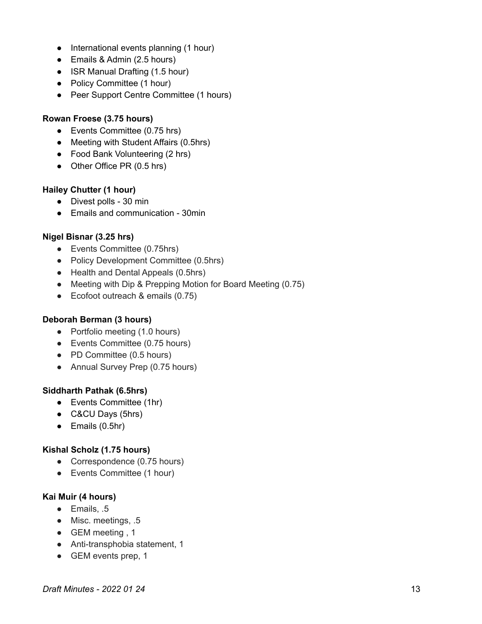- International events planning (1 hour)
- Emails & Admin (2.5 hours)
- ISR Manual Drafting (1.5 hour)
- Policy Committee (1 hour)
- Peer Support Centre Committee (1 hours)

### **Rowan Froese (3.75 hours)**

- Events Committee (0.75 hrs)
- Meeting with Student Affairs (0.5hrs)
- Food Bank Volunteering (2 hrs)
- Other Office PR (0.5 hrs)

# **Hailey Chutter (1 hour)**

- Divest polls 30 min
- Emails and communication 30min

# **Nigel Bisnar (3.25 hrs)**

- Events Committee (0.75hrs)
- Policy Development Committee (0.5hrs)
- Health and Dental Appeals (0.5hrs)
- Meeting with Dip & Prepping Motion for Board Meeting (0.75)
- Ecofoot outreach & emails (0.75)

# **Deborah Berman (3 hours)**

- Portfolio meeting (1.0 hours)
- Events Committee (0.75 hours)
- PD Committee (0.5 hours)
- Annual Survey Prep (0.75 hours)

# **Siddharth Pathak (6.5hrs)**

- Events Committee (1hr)
- C&CU Days (5hrs)
- $\bullet$  Emails (0.5hr)

# **Kishal Scholz (1.75 hours)**

- Correspondence (0.75 hours)
- Events Committee (1 hour)

# **Kai Muir (4 hours)**

- Emails, .5
- Misc. meetings, .5
- GEM meeting, 1
- Anti-transphobia statement, 1
- GEM events prep, 1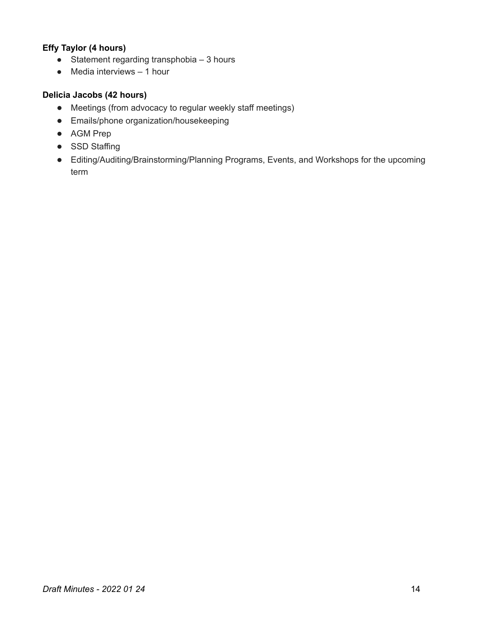# **Effy Taylor (4 hours)**

- $\bullet$  Statement regarding transphobia  $-3$  hours
- $\bullet$  Media interviews  $-1$  hour

# **Delicia Jacobs (42 hours)**

- Meetings (from advocacy to regular weekly staff meetings)
- Emails/phone organization/housekeeping
- AGM Prep
- SSD Staffing
- Editing/Auditing/Brainstorming/Planning Programs, Events, and Workshops for the upcoming term